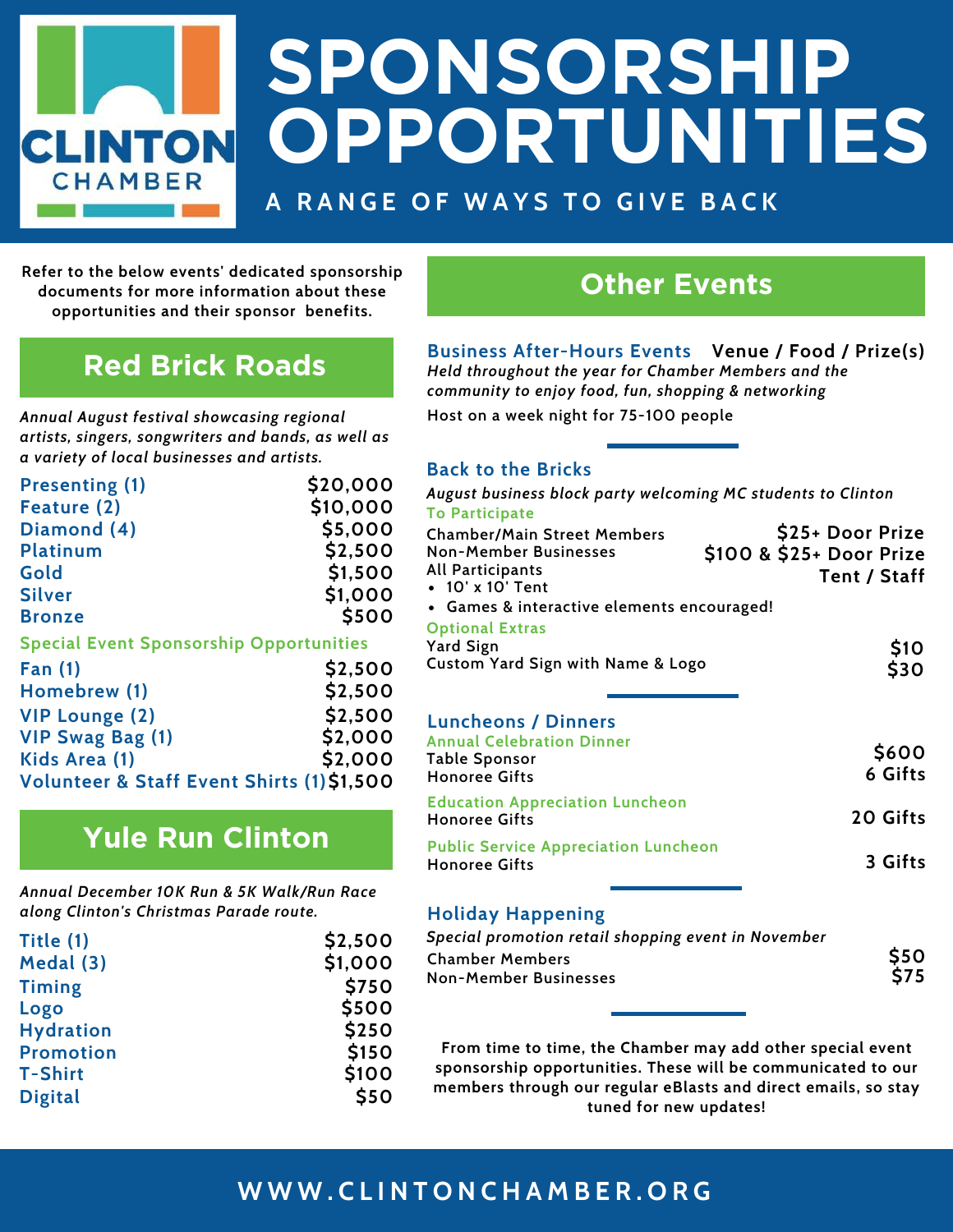# **SPONSORSHIP OPPORTUNITIES CLINTON CHAMBER A RANGE OF WAYS TO GIVE BACK**

**Refer to the below events' dedicated sponsorship documents for more information about these opportunities and their sponsor benefits.**

### **Red Brick Roads**

*Annual August festival showcasing regional artists, singers, songwriters and bands, as well as a variety of local businesses and artists.*

| <b>Presenting (1)</b>                          | \$20,000 |
|------------------------------------------------|----------|
| Feature (2)                                    | \$10,000 |
| Diamond (4)                                    | \$5,000  |
| <b>Platinum</b>                                | \$2,500  |
| Gold                                           | \$1,500  |
| <b>Silver</b>                                  | \$1,000  |
| <b>Bronze</b>                                  | \$500    |
| <b>Special Event Sponsorship Opportunities</b> |          |
| Fan $(1)$                                      | \$2,500  |
| Homebrew (1)                                   | \$2,500  |
| <b>VIP Lounge (2)</b>                          | \$2,500  |
| <b>VIP Swag Bag (1)</b>                        | \$2,000  |
| Kids Area (1)                                  | \$2,000  |

### **Yule Run Clinton**

**Volunteer & Staff Event Shirts (1) \$1,500**

*Annual December 10K Run & 5K Walk/Run Race along Clinton's Christmas Parade route.*

| Title (1)        | \$2,500 |
|------------------|---------|
| Medal (3)        | \$1,000 |
| <b>Timing</b>    | \$750   |
| Logo             | \$500   |
| <b>Hydration</b> | \$250   |
| <b>Promotion</b> | \$150   |
| <b>T-Shirt</b>   | \$100   |
| <b>Digital</b>   | \$50    |

### **Other Events**

**Business After-Hours Events Venue / Food / Prize(s)** *Held throughout the year for Chamber Members and the community to enjoy food, fun, shopping & networking* **Host on a week night for 75-100 people**

#### **Back to the Bricks**

| August business block party welcoming MC students to Clinton   |                          |
|----------------------------------------------------------------|--------------------------|
| <b>To Participate</b>                                          |                          |
| <b>Chamber/Main Street Members</b>                             | \$25+ Door Prize         |
| <b>Non-Member Businesses</b>                                   | \$100 & \$25+ Door Prize |
| All Participants                                               | Tent / Staff             |
| • 10' x 10' Tent                                               |                          |
| • Games & interactive elements encouraged!                     |                          |
| <b>Optional Extras</b>                                         |                          |
| <b>Yard Sign</b>                                               |                          |
| Custom Yard Sign with Name & Logo                              | \$10<br>\$30             |
|                                                                |                          |
|                                                                |                          |
| <b>Luncheons / Dinners</b>                                     |                          |
| <b>Annual Celebration Dinner</b>                               |                          |
| Table Sponsor                                                  | \$600                    |
| <b>Honoree Gifts</b>                                           | 6 Gifts                  |
|                                                                |                          |
| <b>Education Appreciation Luncheon</b><br><b>Honoree Gifts</b> | 20 Gifts                 |
|                                                                |                          |
| <b>Public Service Appreciation Luncheon</b>                    |                          |
| <b>Honoree Gifts</b>                                           | 3 Gifts                  |
|                                                                |                          |

#### **Holiday Happening**

| Special promotion retail shopping event in November |              |
|-----------------------------------------------------|--------------|
| <b>Chamber Members</b>                              | \$50<br>\$75 |
| <b>Non-Member Businesses</b>                        |              |

**From time to time, the Chamber may add other special event sponsorship opportunities. These will be communicated to our members through our regular eBlasts and direct emails, so stay tuned for new updates!**

### **W W W . C L I N T O N C H A M B E R . O R G**